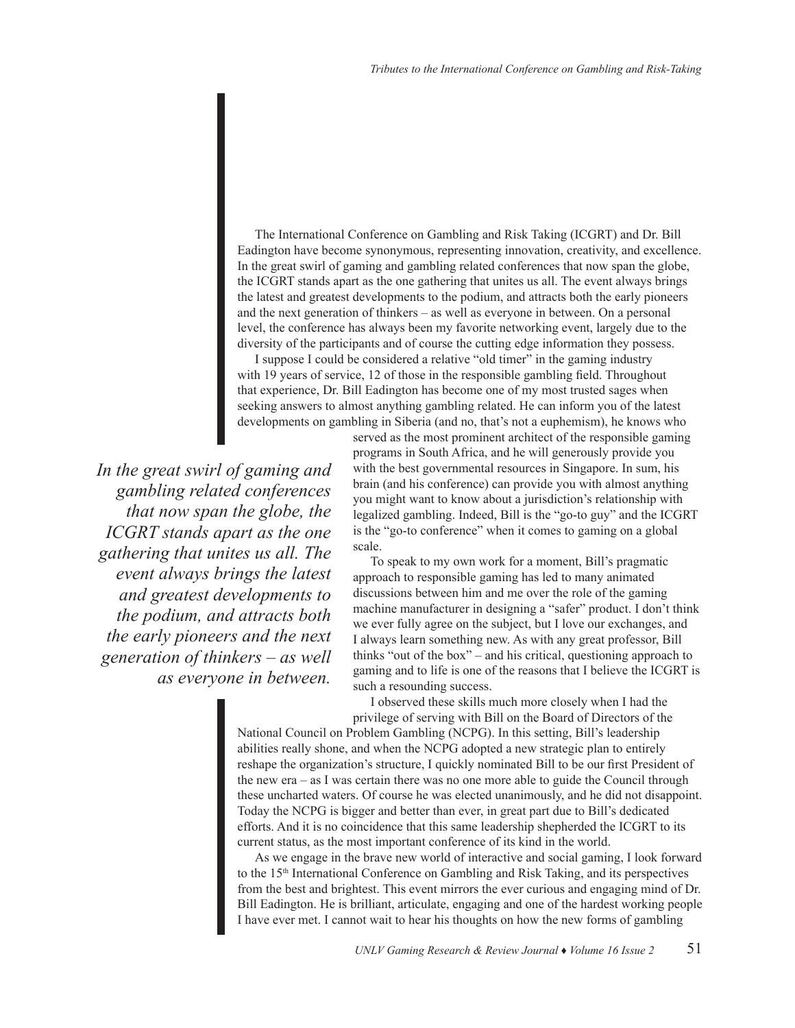The International Conference on Gambling and Risk Taking (ICGRT) and Dr. Bill Eadington have become synonymous, representing innovation, creativity, and excellence. In the great swirl of gaming and gambling related conferences that now span the globe, the ICGRT stands apart as the one gathering that unites us all. The event always brings the latest and greatest developments to the podium, and attracts both the early pioneers and the next generation of thinkers – as well as everyone in between. On a personal level, the conference has always been my favorite networking event, largely due to the diversity of the participants and of course the cutting edge information they possess.

I suppose I could be considered a relative "old timer" in the gaming industry with 19 years of service, 12 of those in the responsible gambling field. Throughout that experience, Dr. Bill Eadington has become one of my most trusted sages when seeking answers to almost anything gambling related. He can inform you of the latest developments on gambling in Siberia (and no, that's not a euphemism), he knows who

*In the great swirl of gaming and gambling related conferences that now span the globe, the ICGRT stands apart as the one gathering that unites us all. The event always brings the latest and greatest developments to the podium, and attracts both the early pioneers and the next generation of thinkers – as well as everyone in between.* 

served as the most prominent architect of the responsible gaming programs in South Africa, and he will generously provide you with the best governmental resources in Singapore. In sum, his brain (and his conference) can provide you with almost anything you might want to know about a jurisdiction's relationship with legalized gambling. Indeed, Bill is the "go-to guy" and the ICGRT is the "go-to conference" when it comes to gaming on a global scale.

To speak to my own work for a moment, Bill's pragmatic approach to responsible gaming has led to many animated discussions between him and me over the role of the gaming machine manufacturer in designing a "safer" product. I don't think we ever fully agree on the subject, but I love our exchanges, and I always learn something new. As with any great professor, Bill thinks "out of the box" – and his critical, questioning approach to gaming and to life is one of the reasons that I believe the ICGRT is such a resounding success.

I observed these skills much more closely when I had the privilege of serving with Bill on the Board of Directors of the

National Council on Problem Gambling (NCPG). In this setting, Bill's leadership abilities really shone, and when the NCPG adopted a new strategic plan to entirely reshape the organization's structure, I quickly nominated Bill to be our first President of the new era – as I was certain there was no one more able to guide the Council through these uncharted waters. Of course he was elected unanimously, and he did not disappoint. Today the NCPG is bigger and better than ever, in great part due to Bill's dedicated efforts. And it is no coincidence that this same leadership shepherded the ICGRT to its current status, as the most important conference of its kind in the world.

As we engage in the brave new world of interactive and social gaming, I look forward to the 15th International Conference on Gambling and Risk Taking, and its perspectives from the best and brightest. This event mirrors the ever curious and engaging mind of Dr. Bill Eadington. He is brilliant, articulate, engaging and one of the hardest working people I have ever met. I cannot wait to hear his thoughts on how the new forms of gambling